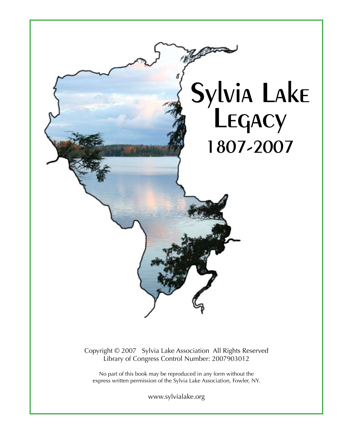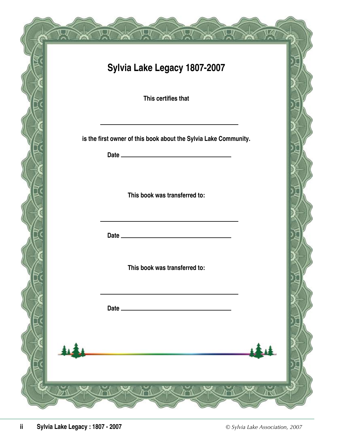| Sylvia Lake Legacy 1807-2007                                     |  |
|------------------------------------------------------------------|--|
| This certifies that                                              |  |
| is the first owner of this book about the Sylvia Lake Community. |  |
| This book was transferred to:                                    |  |
|                                                                  |  |
| This book was transferred to:                                    |  |
|                                                                  |  |
|                                                                  |  |
|                                                                  |  |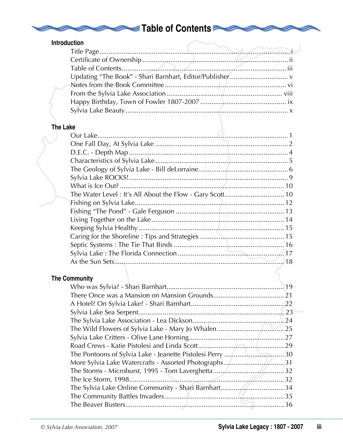# Table of Contents

|                 | <b>Introduction</b>                                      |
|-----------------|----------------------------------------------------------|
|                 |                                                          |
|                 |                                                          |
|                 |                                                          |
|                 |                                                          |
|                 |                                                          |
|                 |                                                          |
|                 |                                                          |
|                 |                                                          |
|                 |                                                          |
| <b>The Lake</b> |                                                          |
|                 |                                                          |
|                 |                                                          |
|                 |                                                          |
|                 |                                                          |
|                 |                                                          |
|                 |                                                          |
|                 |                                                          |
|                 | The Water Level: It's All About the Flow - Gary Scott 10 |
|                 |                                                          |
|                 |                                                          |
|                 |                                                          |
|                 |                                                          |
|                 |                                                          |
|                 |                                                          |
|                 |                                                          |
|                 |                                                          |
|                 |                                                          |
|                 | <b>The Community</b>                                     |
|                 | 19                                                       |
|                 |                                                          |
|                 |                                                          |
|                 |                                                          |
|                 |                                                          |
|                 |                                                          |
|                 |                                                          |
|                 |                                                          |
|                 |                                                          |
|                 |                                                          |
|                 |                                                          |
|                 |                                                          |
|                 |                                                          |
|                 |                                                          |
|                 |                                                          |

**DI**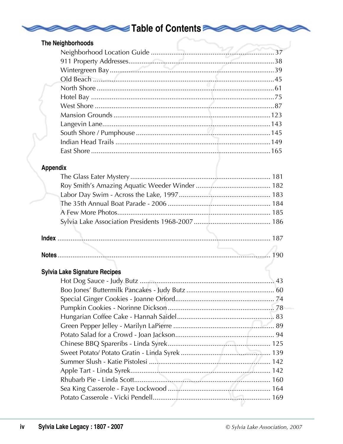## Table of Contents

|  | The Neighborhoods |
|--|-------------------|
|--|-------------------|

### Appendix

#### **Sylvia Lake Signature Recipes**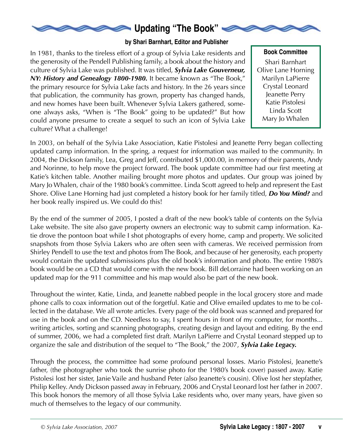

#### **by Shari Barnhart, Editor and Publisher**

In 1981, thanks to the tireless effort of a group of Sylvia Lake residents and the generosity of the Pendell Publishing family, a book about the history and culture of Sylvia Lake was published. It was titled, *Sylvia Lake Gouverneur, NY: History and Genealogy 1800-1980.* It became known as "The Book," the primary resource for Sylvia Lake facts and history. In the 26 years since that publication, the community has grown, property has changed hands, and new homes have been built. Whenever Sylvia Lakers gathered, someone always asks, "When is "The Book" going to be updated?" But how could anyone presume to create a sequel to such an icon of Sylvia Lake culture? What a challenge!

Shari Barnhart Olive Lane Horning Marilyn LaPierre Crystal Leonard Jeanette Perry Katie Pistolesi Linda Scott Mary Jo Whalen **Book Committee**

In 2003, on behalf of the Sylvia Lake Association, Katie Pistolesi and Jeanette Perry began collecting updated camp information. In the spring, a request for information was mailed to the community. In 2004, the Dickson family, Lea, Greg and Jeff, contributed \$1,000.00, in memory of their parents, Andy and Norinne, to help move the project forward. The book update committee had our first meeting at Katie's kitchen table. Another mailing brought more photos and updates. Our group was joined by Mary Jo Whalen, chair of the 1980 book's committee. Linda Scott agreed to help and represent the East Shore. Olive Lane Horning had just completed a history book for her family titled, *Do You Mind?* and her book really inspired us. We could do this!

By the end of the summer of 2005, I posted a draft of the new book's table of contents on the Sylvia Lake website. The site also gave property owners an electronic way to submit camp information. Katie drove the pontoon boat while I shot photographs of every home, camp and property. We solicited snapshots from those Sylvia Lakers who are often seen with cameras. We received permission from Shirley Pendell to use the text and photos from The Book, and because of her generosity, each property would contain the updated submissions plus the old book's information and photo. The entire 1980's book would be on a CD that would come with the new book. Bill deLorraine had been working on an updated map for the 911 committee and his map would also be part of the new book.

Throughout the winter, Katie, Linda, and Jeanette nabbed people in the local grocery store and made phone calls to coax information out of the forgetful. Katie and Olive emailed updates to me to be collected in the database. We all wrote articles. Every page of the old book was scanned and prepared for use in the book and on the CD. Needless to say, I spent hours in front of my computer, for months... writing articles, sorting and scanning photographs, creating design and layout and editing. By the end of summer, 2006, we had a completed first draft. Marilyn LaPierre and Crystal Leonard stepped up to organize the sale and distribution of the sequel to "The Book," the 2007, *Sylvia Lake Legacy.*

Through the process, the committee had some profound personal losses. Mario Pistolesi, Jeanette's father, (the photographer who took the sunrise photo for the 1980's book cover) passed away. Katie Pistolesi lost her sister, Janie Vaile and husband Peter (also Jeanette's cousin). Olive lost her stepfather, Philip Kelley. Andy Dickson passed away in February, 2006 and Crystal Leonard lost her father in 2007. This book honors the memory of all those Sylvia Lake residents who, over many years, have given so much of themselves to the legacy of our community.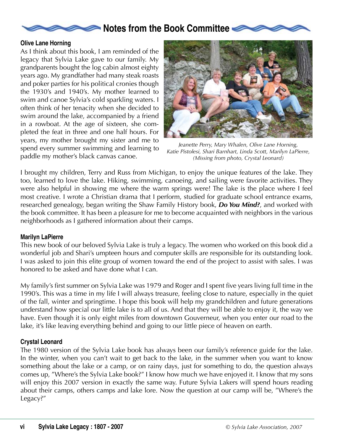### **Notes from the Book Committee**

#### **Olive Lane Horning**

As I think about this book, I am reminded of the legacy that Sylvia Lake gave to our family. My grandparents bought the log cabin almost eighty years ago. My grandfather had many steak roasts and poker parties for his political cronies though the 1930's and 1940's. My mother learned to swim and canoe Sylvia's cold sparkling waters. I often think of her tenacity when she decided to swim around the lake, accompanied by a friend in a rowboat. At the age of sixteen, she completed the feat in three and one half hours. For years, my mother brought my sister and me to spend every summer swimming and learning to paddle my mother's black canvas canoe.



*Jeanette Perry, Mary Whalen, Olive Lane Horning, Katie Pistolesi, Shari Barnhart, Linda Scott, Marilyn LaPierre, (Missing from photo, Crystal Leonard)*

I brought my children, Terry and Russ from Michigan, to enjoy the unique features of the lake. They too, learned to love the lake. Hiking, swimming, canoeing, and sailing were favorite activities. They were also helpful in showing me where the warm springs were! The lake is the place where I feel most creative. I wrote a Christian drama that I perform, studied for graduate school entrance exams, researched genealogy, began writing the Shaw Family History book, *Do You Mind?*, and worked with the book committee. It has been a pleasure for me to become acquainted with neighbors in the various neighborhoods as I gathered information about their camps.

#### **Marilyn LaPierre**

This new book of our beloved Sylvia Lake is truly a legacy. The women who worked on this book did a wonderful job and Shari's umpteen hours and computer skills are responsible for its outstanding look. I was asked to join this elite group of women toward the end of the project to assist with sales. I was honored to be asked and have done what I can.

My family's first summer on Sylvia Lake was 1979 and Roger and I spent five years living full time in the 1990's. This was a time in my life I will always treasure, feeling close to nature, especially in the quiet of the fall, winter and springtime. I hope this book will help my grandchildren and future generations understand how special our little lake is to all of us. And that they will be able to enjoy it, the way we have. Even though it is only eight miles from downtown Gouverneur, when you enter our road to the lake, it's like leaving everything behind and going to our little piece of heaven on earth.

#### **Crystal Leonard**

The 1980 version of the Sylvia Lake book has always been our family's reference guide for the lake. In the winter, when you can't wait to get back to the lake, in the summer when you want to know something about the lake or a camp, or on rainy days, just for something to do, the question always comes up, "Where's the Sylvia Lake book?" I know how much we have enjoyed it. I know that my sons will enjoy this 2007 version in exactly the same way. Future Sylvia Lakers will spend hours reading about their camps, others camps and lake lore. Now the question at our camp will be, "Where's the Legacy?"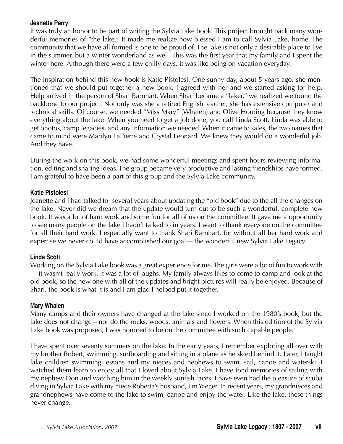#### **Jeanette Perry**

It was truly an honor to be part of writing the Sylvia Lake book. This project brought back many wonderful memories of "the lake." It made me realize how blessed I am to call Sylvia Lake, home. The community that we have all formed is one to be proud of. The lake is not only a desirable place to live in the summer, but a winter wonderland as well. This was the first year that my family and I spent the winter here. Although there were a few chilly days, it was like being on vacation everyday.

The inspiration behind this new book is Katie Pistolesi. One sunny day, about 5 years ago, she mentioned that we should put together a new book. I agreed with her and we started asking for help. Help arrived in the person of Shari Barnhart. When Shari became a "laker," we realized we found the backbone to our project. Not only was she a retired English teacher, she has extensive computer and technical skills. Of course, we needed "Miss Mary" (Whalen) and Olive Horning because they know everything about the lake! When you need to get a job done, you call Linda Scott. Linda was able to get photos, camp legacies, and any information we needed. When it came to sales, the two names that came to mind were Marilyn LaPierre and Crystal Leonard. We knew they would do a wonderful job. And they have.

During the work on this book, we had some wonderful meetings and spent hours reviewing information, editing and sharing ideas. The group became very productive and lasting friendships have formed. I am grateful to have been a part of this group and the Sylvia Lake community.

#### **Katie Pistolesi**

Jeanette and I had talked for several years about updating the "old book" due to the all the changes on the lake. Never did we dream that the update would turn out to be such a wonderful, complete new book. It was a lot of hard work and some fun for all of us on the committee. It gave me a opportunity to see many people on the lake I hadn't talked to in years. I want to thank everyone on the committee for all their hard work. I especially want to thank Shari Barnhart, for without all her hard work and expertise we never could have accomplished our goal— the wonderful new Sylvia Lake Legacy.

#### **Linda Scott**

Working on the Sylvia Lake book was a great experience for me. The girls were a lot of fun to work with — it wasn't really work, it was a lot of laughs. My family always likes to come to camp and look at the old book, so the new one with all of the updates and bright pictures will really be enjoyed. Because of Shari, the book is what it is and I am glad I helped put it together.

#### **Mary Whalen**

Many camps and their owners have changed at the lake since I worked on the 1980's book, but the lake does not change – nor do the rocks, woods, animals and flowers. When this edition of the Sylvia Lake book was proposed, I was honored to be on the committee with such capable people.

I have spent over seventy summers on the lake. In the early years, I remember exploring all over with my brother Robert, swimming, surfboarding and sitting in a plane as he skied behind it. Later, I taught lake children swimming lessons and my nieces and nephews to swim, sail, canoe and waterski. I watched them learn to enjoy all that I loved about Sylvia Lake. I have fond memories of sailing with my nephew Don and watching him in the weekly sunfish races. I have even had the pleasure of scuba diving in Sylvia Lake with my niece Roberta's husband, JimYaeger. In recent years, my grandnieces and grandnephews have come to the lake to swim, canoe and enjoy the water. Like the lake, these things never change.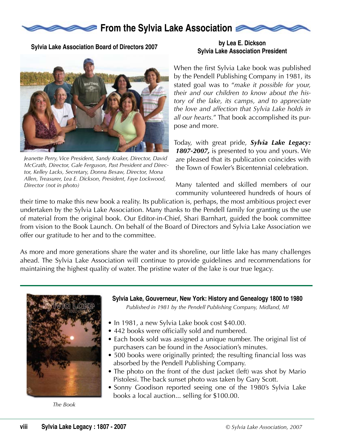

**Sylvia Lake Association Board of Directors 2007**



*Jeanette Perry, Vice President, Sandy Kraker, Director, David McGrath, Director, Gale Ferguson, Past President and Director, Kelley Lacks, Secretary, Donna Besaw, Director, Mona Allen, Treasurer, Lea E. Dickson, President, Faye Lockwood, Director (not in photo)*

#### **by Lea E. Dickson Sylvia Lake Association President**

When the first Sylvia Lake book was published by the Pendell Publishing Company in 1981, its stated goal was to "*make it possible for your, their and our children to know about the history of the lake, its camps, and to appreciate the love and affection that Sylvia Lake holds in all our hearts.*" That book accomplished its purpose and more.

Today, with great pride, *Sylvia Lake Legacy: 1807-2007,* is presented to you and yours. We are pleased that its publication coincides with the Town of Fowler's Bicentennial celebration.

Many talented and skilled members of our community volunteered hundreds of hours of

their time to make this new book a reality. Its publication is, perhaps, the most ambitious project ever undertaken by the Sylvia Lake Association. Many thanks to the Pendell family for granting us the use of material from the original book. Our Editor-in-Chief, Shari Barnhart, guided the book committee from vision to the Book Launch. On behalf of the Board of Directors and Sylvia Lake Association we offer our gratitude to her and to the committee.

As more and more generations share the water and its shoreline, our little lake has many challenges ahead. The Sylvia Lake Association will continue to provide guidelines and recommendations for maintaining the highest quality of water. The pristine water of the lake is our true legacy.



*The Book*

**Sylvia Lake, Gouverneur, New York: History and Genealogy 1800 to 1980**

*Published in 1981 by the Pendell Publishing Company, Midland, MI*

- In 1981, a new Sylvia Lake book cost \$40.00.
- 442 books were officially sold and numbered.
- Each book sold was assigned a unique number. The original list of purchasers can be found in the Association's minutes.
- 500 books were originally printed; the resulting financial loss was absorbed by the Pendell Publishing Company.
- The photo on the front of the dust jacket (left) was shot by Mario Pistolesi. The back sunset photo was taken by Gary Scott.
- Sonny Goodison reported seeing one of the 1980's Sylvia Lake books a local auction... selling for \$100.00.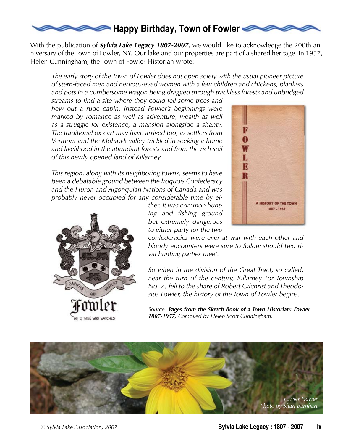

With the publication of *Sylvia Lake Legacy 1807-2007*, we would like to acknowledge the 200th anniversary of the Town of Fowler, NY. Our lake and our properties are part of a shared heritage. In 1957, Helen Cunningham, the Town of Fowler Historian wrote:

*The early story of the Town of Fowler does not open solely with the usual pioneer picture of stern-faced men and nervous-eyed women with a few children and chickens, blankets and pots in a cumbersome wagon being dragged through trackless forests and unbridged* 

*streams to find a site where they could fell some trees and hew out a rude cabin. Instead Fowler's beginnings were*  marked by romance as well as adventure, wealth as well *as a struggle for existence, a mansion alongside a shanty. The traditional ox-cart may have arrived too, as settlers from Vermont and the Mohawk valley trickled in seeking a home and livelihood in the abundant forests and from the rich soil of this newly opened land of Killarney.*

*This region, along with its neighboring towns, seems to have been a debatable ground between the Iroquois Confederacy and the Huron and Algonquian Nations of Canada and was probably never occupied for any considerable time by ei-*

> *ther. It was common hunting and fishing ground but extremely dangerous to either party for the two*



*confederacies were ever at war with each other and bloody encounters were sure to follow should two rival hunting parties meet.*

*So when in the division of the Great Tract, so called, near the turn of the century, Killarney (or Township No. 7) fell to the share of Robert Gilchrist and Theodosius Fowler, the history of the Town of Fowler begins.*

*Source: Pages from the Sketch Book of a Town Historian: Fowler 1807-1957, Compiled by Helen Scott Cunningham.*



HE IS WISE WHO WATCHES